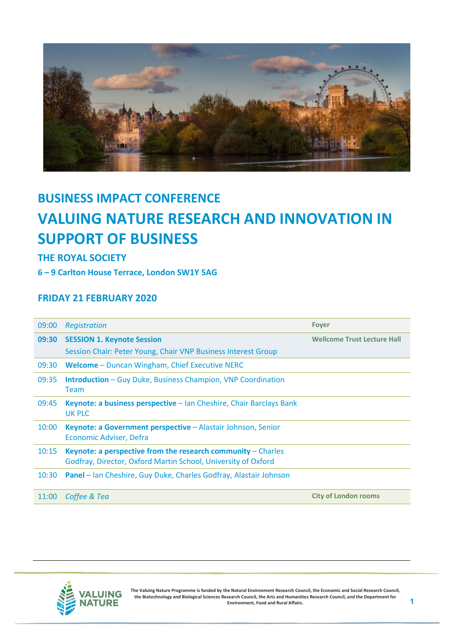

## **BUSINESS IMPACT CONFERENCE VALUING NATURE RESEARCH AND INNOVATION IN SUPPORT OF BUSINESS**

## **THE ROYAL SOCIETY**

**6 – 9 Carlton House Terrace, London SW1Y 5AG**

## **FRIDAY 21 FEBRUARY 2020**

| 09:00 | Registration                                                                                                                    | <b>Foyer</b>                       |
|-------|---------------------------------------------------------------------------------------------------------------------------------|------------------------------------|
| 09:30 | <b>SESSION 1. Keynote Session</b>                                                                                               | <b>Wellcome Trust Lecture Hall</b> |
|       | Session Chair: Peter Young, Chair VNP Business Interest Group                                                                   |                                    |
| 09:30 | Welcome - Duncan Wingham, Chief Executive NERC                                                                                  |                                    |
| 09:35 | <b>Introduction</b> – Guy Duke, Business Champion, VNP Coordination<br>Team                                                     |                                    |
| 09:45 | Keynote: a business perspective - Ian Cheshire, Chair Barclays Bank<br><b>UK PLC</b>                                            |                                    |
| 10:00 | Keynote: a Government perspective - Alastair Johnson, Senior<br>Economic Adviser, Defra                                         |                                    |
| 10:15 | Keynote: a perspective from the research community $-$ Charles<br>Godfray, Director, Oxford Martin School, University of Oxford |                                    |
| 10:30 | <b>Panel</b> – Ian Cheshire, Guy Duke, Charles Godfray, Alastair Johnson                                                        |                                    |
| 11:00 | Coffee & Tea                                                                                                                    | <b>City of London rooms</b>        |



**The Valuing Nature Programme is funded by the Natural Environment Research Council, the Economic and Social Research Council, the Biotechnology and Biological Sciences Research Council, the Arts and Humanities Research Council, and the Department for Environment, Food and Rural Affairs.**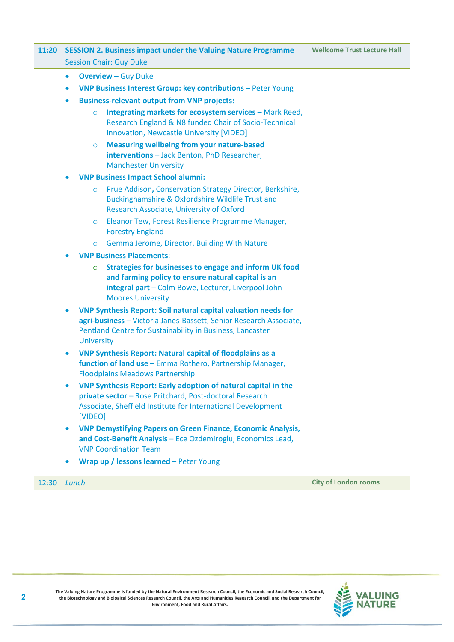## **11:20 SESSION 2. Business impact under the Valuing Nature Programme** Session Chair: Guy Duke

- **Overview** Guy Duke
- **VNP Business Interest Group: key contributions** Peter Young
- **Business-relevant output from VNP projects:**
	- o **Integrating markets for ecosystem services** Mark Reed, Research England & N8 funded Chair of Socio-Technical Innovation, Newcastle University [VIDEO]
	- o **Measuring wellbeing from your nature-based interventions** – Jack Benton, PhD Researcher, Manchester University
- **VNP Business Impact School alumni:**
	- o Prue Addison**,** Conservation Strategy Director, Berkshire, Buckinghamshire & Oxfordshire Wildlife Trust and Research Associate, University of Oxford
	- o Eleanor Tew, Forest Resilience Programme Manager, Forestry England
	- o Gemma Jerome, Director, Building With Nature
- **VNP Business Placements**:
	- o **Strategies for businesses to engage and inform UK food and farming policy to ensure natural capital is an integral part** – Colm Bowe, Lecturer, Liverpool John Moores University
- **VNP Synthesis Report: Soil natural capital valuation needs for agri-business** – Victoria Janes-Bassett, Senior Research Associate, Pentland Centre for Sustainability in Business, Lancaster **University**
- **VNP Synthesis Report: Natural capital of floodplains as a function of land use** – Emma Rothero, Partnership Manager, Floodplains Meadows Partnership
- **VNP Synthesis Report: Early adoption of natural capital in the private sector** – Rose Pritchard, Post-doctoral Research Associate, Sheffield Institute for International Development [VIDEO]
- **VNP Demystifying Papers on Green Finance, Economic Analysis, and Cost-Benefit Analysis** – Ece Ozdemiroglu, Economics Lead, VNP Coordination Team
- **Wrap up / lessons learned** Peter Young

12:30 *Lunch* **City of London rooms**